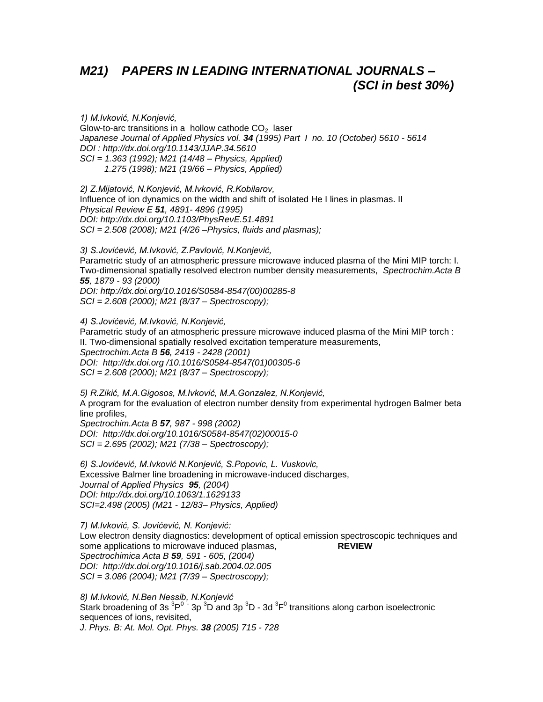# *M21) PAPERS IN LEADING INTERNATIONAL JOURNALS – (SCI in best 30%)*

*1) M.Ivković, N.Konjević,*  Glow-to-arc transitions in a hollow cathode  $CO<sub>2</sub>$  laser *Japanese Journal of Applied Physics vol. 34 (1995) Part I no. 10 (October) 5610 - 5614 DOI :<http://dx.doi.org/10.1143/JJAP.34.5610> SCI = 1.363 (1992); M21 (14/48 – Physics, Applied) 1.275 (1998); M21 (19/66 – Physics, Applied)*

*2) Z.Mijatović, N.Konjević, M.Ivković, R.Kobilarov,* Influence of ion dynamics on the width and shift of isolated He I lines in plasmas. II *Physical Review E 51, 4891- 4896 (1995) DOI:<http://dx.doi.org/10.1103/PhysRevE.51.4891> SCI = 2.508 (2008); M21 (4/26 –Physics, fluids and plasmas);*

*3) S.Jovićević, M.Ivković, Z.Pavlović, N.Konjević,* Parametric study of an atmospheric pressure microwave induced plasma of the Mini MIP torch: I. Two-dimensional spatially resolved electron number density measurements, *Spectrochim.Acta B 55, 1879 - 93 (2000) DOI: [http://dx.doi.org/10.1016/S0584-8547\(00\)00285-8](http://dx.doi.org/10.1016/S0584-8547(00)00285-8) SCI = 2.608 (2000); M21 (8/37 – Spectroscopy);*

*4) S.Jovićević, M.Ivković, N.Konjević,*  Parametric study of an atmospheric pressure microwave induced plasma of the Mini MIP torch : II. Two-dimensional spatially resolved excitation temperature measurements, *Spectrochim.Acta B 56, 2419 - 2428 (2001) DOI: http://dx.doi.org /10.1016/S0584-8547(01)00305-6 SCI = 2.608 (2000); M21 (8/37 – Spectroscopy);*

*5) R.Zikić, M.A.Gigosos, M.Ivković, M.A.Gonzalez, N.Konjević,* A program for the evaluation of electron number density from experimental hydrogen Balmer beta line profiles, *Spectrochim.Acta B 57, 987 - 998 (2002) DOI: [http://dx.doi.org/10.1016/S0584-8547\(02\)00015-0](http://dx.doi.org/10.1016/S0584-8547(02)00015-0)*

*SCI = 2.695 (2002); M21 (7/38 – Spectroscopy);* 

*6) S.Jovićević, M.Ivković N.Konjević, S.Popovic, L. Vuskovic,*  Excessive Balmer line broadening in microwave-induced discharges, *Journal of Applied Physics 95, (2004) DOI:<http://dx.doi.org/10.1063/1.1629133> SCI=2.498 (2005) (M21 - 12/83– Physics, Applied)*

*7) M.Ivković, S. Jovićević, N. Konjević:*  Low electron density diagnostics: development of optical emission spectroscopic techniques and some applications to microwave induced plasmas, **REVIEW** *Spectrochimica Acta B 59, 591 - 605, (2004) DOI: <http://dx.doi.org/10.1016/j.sab.2004.02.005> SCI = 3.086 (2004); M21 (7/39 – Spectroscopy);* 

*8) M.Ivković, N.Ben Nessib, N.Konjević*  Stark broadening of 3s  ${}^{3}P^{0}$  · 3p  ${}^{3}D$  and 3p  ${}^{3}D$  - 3d  ${}^{3}F^{0}$  transitions along carbon isoelectronic sequences of ions, revisited, *J. Phys. B: At. Mol. Opt. Phys. 38 (2005) 715 - 728*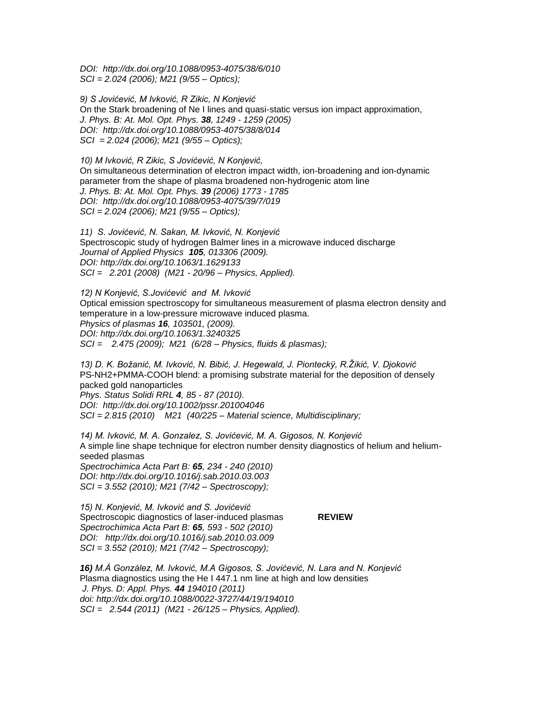*DOI: <http://dx.doi.org/10.1088/0953-4075/38/6/010> SCI = 2.024 (2006); M21 (9/55 – Optics);* 

*9) S Jovićević, M Ivković, R Zikic, N Konjević* On the Stark broadening of Ne I lines and quasi-static versus ion impact approximation, *J. Phys. B: At. Mol. Opt. Phys. 38, 1249 - 1259 (2005) DOI: <http://dx.doi.org/10.1088/0953-4075/38/8/014> SCI = 2.024 (2006); M21 (9/55 – Optics);* 

*10) M Ivković, R Zikic, S Jovićević, N Konjević,* On simultaneous determination of electron impact width, ion-broadening and ion-dynamic parameter from the shape of plasma broadened non-hydrogenic atom line *J. Phys. B: At. Mol. Opt. Phys. 39 (2006) 1773 - 1785 DOI: <http://dx.doi.org/10.1088/0953-4075/39/7/019> SCI = 2.024 (2006); M21 (9/55 – Optics);*

*11) S. Jovićević, N. Sakan, M. Ivković, N. Konjević* Spectroscopic study of hydrogen Balmer lines in a microwave induced discharge *Journal of Applied Physics 105, 013306 (2009). DOI:<http://dx.doi.org/10.1063/1.1629133> SCI = 2.201 (2008) (M21 - 20/96 – Physics, Applied).*

*12) N Konjević, S.Jovićević and M. Ivković* Optical emission spectroscopy for simultaneous measurement of plasma electron density and temperature in a low-pressure microwave induced plasma. *Physics of plasmas 16, 103501, (2009). DOI:<http://dx.doi.org/10.1063/1.3240325> SCI = 2.475 (2009); M21 (6/28 – Physics, fluids & plasmas);* 

*13) D. K. Boţanić, M. Ivković, N. Bibić, J. Hegewald, J. Pionteckÿ, R.Ţikić, V. Djoković* PS-NH2+PMMA-COOH blend: a promising substrate material for the deposition of densely packed gold nanoparticles *Phys. Status Solidi RRL 4, 85 - 87 (2010).* 

*DOI: <http://dx.doi.org/10.1002/pssr.201004046> SCI = 2.815 (2010) M21 (40/225 – Material science, Multidisciplinary;*

*14) M. Ivković, M. A. Gonzalez, S. Jovićević, M. A. Gigosos, N. Konjević* A simple line shape technique for electron number density diagnostics of helium and heliumseeded plasmas *Spectrochimica Acta Part B: 65, 234 - 240 (2010) DOI:<http://dx.doi.org/10.1016/j.sab.2010.03.003> SCI = 3.552 (2010); M21 (7/42 – Spectroscopy);* 

*15) N. Konjević, M. Ivković and S. Jovićević*  Spectroscopic diagnostics of laser-induced plasmas **REVIEW** *Spectrochimica Acta Part B: 65, 593 - 502 (2010) DOI: <http://dx.doi.org/10.1016/j.sab.2010.03.009> SCI = 3.552 (2010); M21 (7/42 – Spectroscopy);* 

*16) M.Á González, M. Ivković, M.A Gigosos, S. Jovićević, N. Lara and N. Konjević* Plasma diagnostics using the He I 447.1 nm line at high and low densities *J. Phys. D: Appl. Phys. 44 194010 (2011) doi: http://dx.doi.org[/10.1088/0022-3727/44/19/194010](http://dx.doi.org/10.1088/0022-3727/44/19/194010)  SCI = 2.544 (2011) (M21 - 26/125 – Physics, Applied).*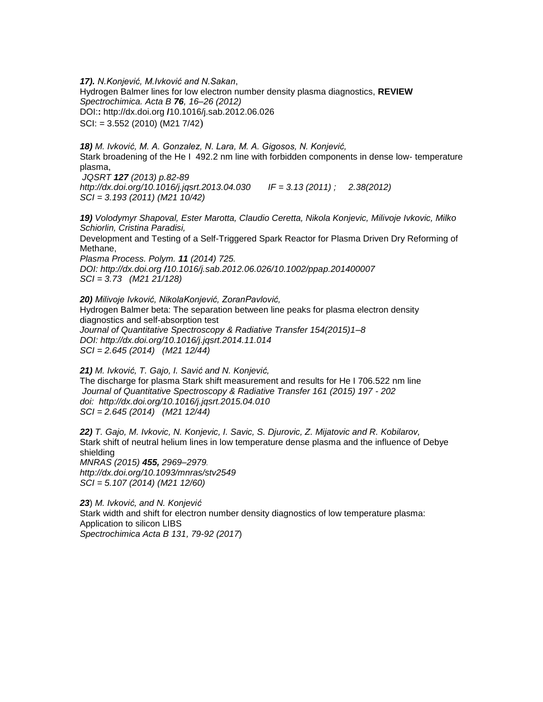*17). N.Konjević, M.Ivković and N.Sakan*, Hydrogen Balmer lines for low electron number density plasma diagnostics, **REVIEW** *Spectrochimica. Acta B 76, 16–26 (2012)* DOI:**:** http://dx.doi.org **/**10.1016/j.sab.2012.06.026 SCI: = 3.552 (2010) (M21 7/42)

*18) M. Ivković, M. A. Gonzalez, N. Lara, M. A. Gigosos, N. Konjević,* Stark broadening of the He I 492.2 nm line with forbidden components in dense low- temperature plasma,

*JQSRT 127 (2013) p.82-89 <http://dx.doi.org/10.1016/j.jqsrt.2013.04.030>IF = 3.13 (2011) ; 2.38(2012) SCI = 3.193 (2011) (M21 10/42)* 

*19) Volodymyr Shapoval, Ester Marotta, Claudio Ceretta, Nikola Konjevic, Milivoje Ivkovic, Milko Schiorlin, Cristina Paradisi,* 

Development and Testing of a Self-Triggered Spark Reactor for Plasma Driven Dry Reforming of Methane,

*Plasma Process. Polym. 11 (2014) 725. DOI: http://dx.doi.org /10.1016/j.sab.2012.06.026/10.1002/ppap.201400007 SCI = 3.73 (M21 21/128)* 

*20) Milivoje Ivković, NikolaKonjević, ZoranPavlović,*  Hydrogen Balmer beta: The separation between line peaks for plasma electron density diagnostics and self-absorption test *Journal of Quantitative Spectroscopy & Radiative Transfer 154(2015)1–8 DOI:<http://dx.doi.org/10.1016/j.jqsrt.2014.11.014> SCI = 2.645 (2014) (M21 12/44)* 

*21) M. Ivković, T. Gajo, I. Savić and N. Konjević,*  The discharge for plasma Stark shift measurement and results for He I 706.522 nm line *Journal of Quantitative Spectroscopy & Radiative Transfer 161 (2015) 197 - 202 [doi: http://dx.doi.org/10.1016/j.jqsrt.2015.04.010](doi:%20%20http://dx.doi.org/10.1016/j.jqsrt.2015.04.010) SCI = 2.645 (2014) (M21 12/44)* 

*22) T. Gajo, M. Ivkovic, N. Konjevic, I. Savic, S. Djurovic, Z. Mijatovic and R. Kobilarov,*  Stark shift of neutral helium lines in low temperature dense plasma and the influence of Debye shielding *MNRAS (2015) 455, 2969–2979. <http://dx.doi.org/10.1093/mnras/stv2549> SCI = 5.107 (2014) (M21 12/60)* 

*23*) *M. Ivković, and N. Konjević* Stark width and shift for electron number density diagnostics of low temperature plasma: Application to silicon LIBS *Spectrochimica Acta B 131, 79-92 (2017*)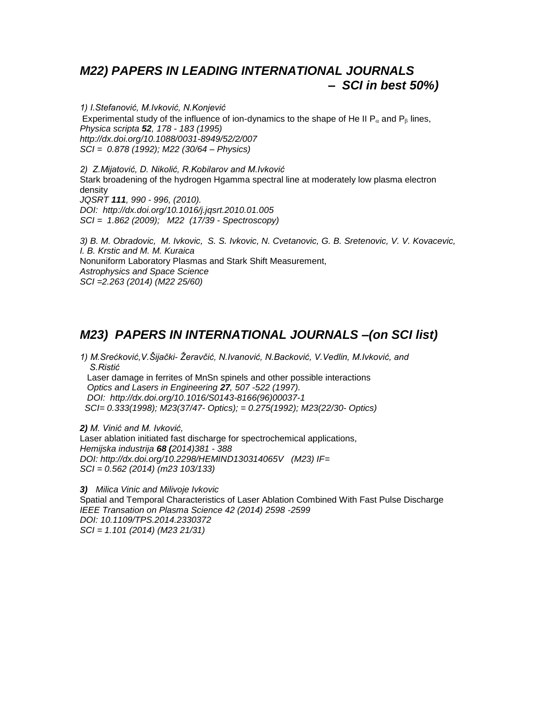# *M22) PAPERS IN LEADING INTERNATIONAL JOURNALS – SCI in best 50%)*

*1) I.Stefanović, M.Ivković, N.Konjević* Experimental study of the influence of ion-dynamics to the shape of He II  $P_\alpha$  and  $P_\beta$  lines, *Physica scripta 52, 178 - 183 (1995) http://dx.doi.org/10.1088/0031-8949/52/2/007 SCI = 0.878 (1992); M22 (30/64 – Physics)*

*2) Z.Mijatović, D. Nikolić, R.Kobilarov and M.Ivković* Stark broadening of the hydrogen Hgamma spectral line at moderately low plasma electron density *JQSRT 111, 990 - 996, (2010). DOI: <http://dx.doi.org/10.1016/j.jqsrt.2010.01.005> SCI = 1.862 (2009); M22 (17/39 - Spectroscopy)*

*3) B. M. Obradovic, M. Ivkovic, S. S. Ivkovic, N. Cvetanovic, G. B. Sretenovic, V. V. Kovacevic, I. B. Krstic and M. M. Kuraica* Nonuniform Laboratory Plasmas and Stark Shift Measurement, *Astrophysics and Space Science SCI =2.263 (2014) (M22 25/60)* 

# *M23) PAPERS IN INTERNATIONAL JOURNALS –(on SCI list)*

*1) M.Srećković,V.Šijački- Ţeravčić, N.Ivanović, N.Backović, V.Vedlin, M.Ivković, and S.Ristić* Laser damage in ferrites of MnSn spinels and other possible interactions  *Optics and Lasers in Engineering 27, 507 -522 (1997).*

 *DOI: http://dx.doi.org/10.1016/S0143-8166(96)00037-1*

 *SCI= 0.333(1998); M23(37/47- Optics); = 0.275(1992); M23(22/30- Optics)* 

*2) M. Vinić and M. Ivković,*  Laser ablation initiated fast discharge for spectrochemical applications*, Hemijska industrija 68 (2014)381 - 388 DOI: http://dx.doi.org/10.2298/HEMIND130314065V (M23) IF= SCI = 0.562 (2014) (m23 103/133)* 

*3) Milica Vinic and Milivoje Ivkovic* Spatial and Temporal Characteristics of Laser Ablation Combined With Fast Pulse Discharge *IEEE Transation on Plasma Science 42 (2014) 2598 -2599 DOI: 10.1109/TPS.2014.2330372 SCI = 1.101 (2014) (M23 21/31)*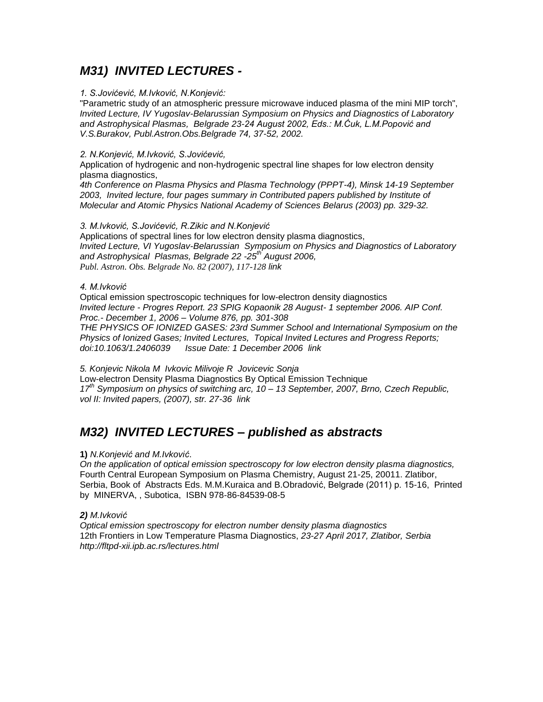## *M31) INVITED LECTURES -*

### *1. S.Jovićević, M.Ivković, N.Konjević:*

"Parametric study of an atmospheric pressure microwave induced plasma of the mini MIP torch", *Invited Lecture, IV Yugoslav-Belarussian Symposium on Physics and Diagnostics of Laboratory and Astrophysical Plasmas, Belgrade 23-24 August 2002, Eds.: M.Ćuk, L.M.Popović and V.S.Burakov, Publ.Astron.Obs.Belgrade 74, 37-52, 2002.*

### *2. N.Konjević, M.Ivković, S.Jovićević,*

Application of hydrogenic and non-hydrogenic spectral line shapes for low electron density plasma diagnostics,

*4th Conference on Plasma Physics and Plasma Technology (PPPT-4), Minsk 14-19 September 2003, Invited lecture, four pages summary in Contributed papers published by Institute of Molecular and Atomic Physics National Academy of Sciences Belarus (2003) pp. 329-32.* 

### *3. M.Ivković, S.Jovićević, R.Zikic and N.Konjević*

Applications of spectral lines for low electron density plasma diagnostics, *Invited Lecture, VI Yugoslav-Belarussian Symposium on Physics and Diagnostics of Laboratory and Astrophysical Plasmas, Belgrade 22 -25th August 2006, Publ. Astron. Obs. Belgrade No. 82 (2007), 117-128 [link](http://publications.aob.rs/82/pdf/117-128.pdf)*

### *4. M.Ivković*

Optical emission spectroscopic techniques for low-electron density diagnostics *Invited lecture - Progres Report. 23 SPIG Kopaonik 28 August- 1 september 2006. AIP Conf. Proc.- December 1, 2006 – Volume 876, pp. 301-308 THE PHYSICS OF IONIZED GASES: 23rd Summer School and International Symposium on the Physics of Ionized Gases; Invited Lectures, Topical Invited Lectures and Progress Reports; doi:10.1063/1.2406039 Issue Date: 1 December 2006 [link](http://link.aip.org/link/?APCPCS/876/301/1)*

*5. [Konjevic](http://kobson.nb.rs/?autor=Konjevic%20Nikola%20M) Nikola M Ivkovic [Milivoje](http://kobson.nb.rs/?autor=Ivkovic%20Milivoje%20R) R [Jovicevic](http://kobson.nb.rs/?autor=Jovicevic%20Sonja) Sonja* Low-electron Density Plasma Diagnostics By Optical Emission Technique *17th Symposium on physics of switching arc, 10 – 13 September, 2007, Brno, Czech Republic, vol II: Invited papers, (2007), str. 27-36 [link](http://apps.isiknowledge.com/full_record.do?product=WOS&search_mode=GeneralSearch&qid=1&SID=T2aM9Agp3BPCDjdlaFn&page=1&doc=2)*

# *M32) INVITED LECTURES – published as abstracts*

## **1)** *N.Konjević and M.Ivković*.

*On the application of optical emission spectroscopy for low electron density plasma diagnostics,* Fourth Central European Symposium on Plasma Chemistry, August 21-25, 20011. Zlatibor, Serbia, Book of Abstracts Eds. M.M.Kuraica and B.Obradović, Belgrade (2011) p. 15-16, Printed by MINERVA, , Subotica, ISBN 978-86-84539-08-5

## *2) M.Ivković*

*Optical emission spectroscopy for electron number density plasma diagnostics* 12th Frontiers in Low Temperature Plasma Diagnostics, *23-27 April 2017, Zlatibor, Serbia http://fltpd-xii.ipb.ac.rs/lectures.html*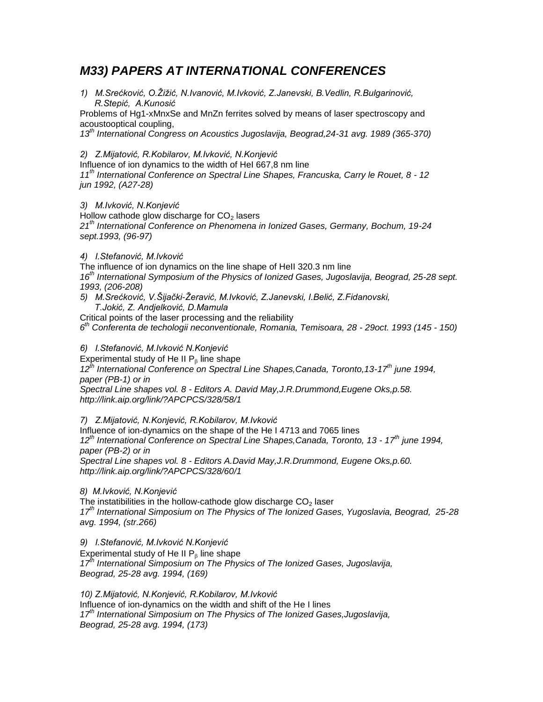# *M33) PAPERS AT INTERNATIONAL CONFERENCES*

*1) M.Srećković, O.Ţiţić, N.Ivanović, M.Ivković, Z.Janevski, B.Vedlin, R.Bulgarinović, R.Stepić, A.Kunosić*

Problems of Hg1-xMnxSe and MnZn ferrites solved by means of laser spectroscopy and acoustooptical coupling,

*13th International Congress on Acoustics Jugoslavija, Beograd,24-31 avg. 1989 (365-370)*

*2) Z.Mijatović, R.Kobilarov, M.Ivković, N.Konjević*

Influence of ion dynamics to the width of HeI 667,8 nm line

*11th International Conference on Spectral Line Shapes, Francuska, Carry le Rouet, 8 - 12 jun 1992, (A27-28)*

*3) M.Ivković, N.Konjević*

Hollow cathode glow discharge for  $CO<sub>2</sub>$  lasers *21th International Conference on Phenomena in Ionized Gases, Germany, Bochum, 19-24 sept.1993, (96-97)*

## *4) I.Stefanović, M.Ivković*

The influence of ion dynamics on the line shape of HeII 320.3 nm line *16th International Symposium of the Physics of Ionized Gases, Jugoslavija, Beograd, 25-28 sept. 1993, (206-208)*

- *5) M.Srećković, V.Šijački-Ţeravić, M.Ivković, Z.Janevski, I.Belić, Z.Fidanovski,* 
	- *T.Jokić, Z. Andjelković, D.Mamula*

Critical points of the laser processing and the reliability

*6 th Conferenta de techologii neconventionale, Romania, Temisoara, 28 - 29oct. 1993 (145 - 150)*

## *6) I.Stefanović, M.Ivković N.Konjević*

Experimental study of He II  $P<sub>8</sub>$  line shape

*12th International Conference on Spectral Line Shapes,Canada, Toronto,13-17th june 1994, paper (PB-1) or in*

*Spectral Line shapes vol. 8 - Editors A. David May,J.R.Drummond,Eugene Oks,p.58. http://link.aip.org/link/?APCPCS/328/58/1*

*7) Z.Mijatović, N.Konjević, R.Kobilarov, M.Ivković*

Influence of ion-dynamics on the shape of the He I 4713 and 7065 lines *12th International Conference on Spectral Line Shapes,Canada, Toronto, 13 - 17th june 1994, paper (PB-2) or in*

*Spectral Line shapes vol. 8 - Editors A.David May,J.R.Drummond, Eugene Oks,p.60. http://link.aip.org/link/?APCPCS/328/60/1*

## *8) M.Ivković, N.Konjević*

The instatibilities in the hollow-cathode glow discharge  $CO<sub>2</sub>$  laser *17th International Simposium on The Physics of The Ionized Gases, Yugoslavia, Beograd, 25-28 avg. 1994, (str.266)*

*9) I.Stefanović, M.Ivković N.Konjević* Experimental study of He II  $P<sub>g</sub>$  line shape *17th International Simposium on The Physics of The Ionized Gases, Jugoslavija, Beograd, 25-28 avg. 1994, (169)*

*10) Z.Mijatović, N.Konjević, R.Kobilarov, M.Ivković* Influence of ion-dynamics on the width and shift of the He I lines *17th International Simposium on The Physics of The Ionized Gases,Jugoslavija, Beograd, 25-28 avg. 1994, (173)*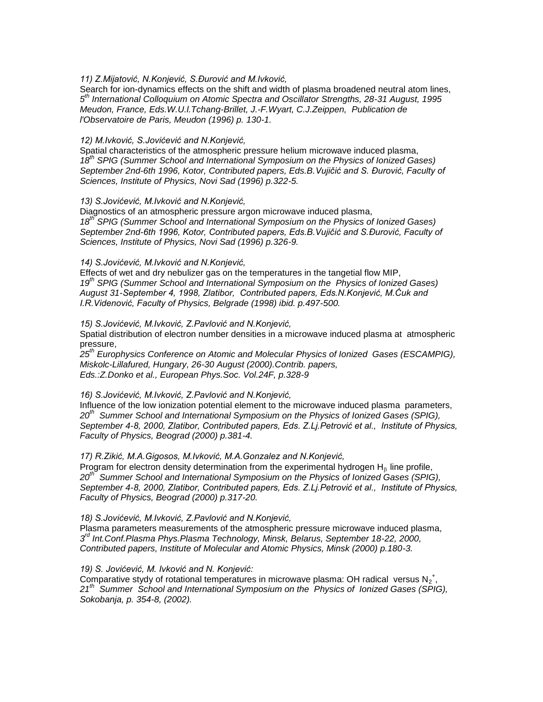*11) Z.Mijatović, N.Konjević, S.Đurović and M.Ivković,*

Search for ion-dynamics effects on the shift and width of plasma broadened neutral atom lines, *5 th International Colloquium on Atomic Spectra and Oscillator Strengths, 28-31 August, 1995 Meudon, France, Eds.W.U.l.Tchang-Brillet, J.-F.Wyart, C.J.Zeippen, Publication de l'Observatoire de Paris, Meudon (1996) p. 130-1.*

#### *12) M.Ivković, S.Jovićević and N.Konjević,*

Spatial characteristics of the atmospheric pressure helium microwave induced plasma, *18th SPIG (Summer School and International Symposium on the Physics of Ionized Gases) September 2nd-6th 1996, Kotor, Contributed papers, Eds.B.Vujičić and S. Đurović, Faculty of Sciences, Institute of Physics, Novi Sad (1996) p.322-5.*

### *13) S.Jovićević, M.Ivković and N.Konjević,*

Diagnostics of an atmospheric pressure argon microwave induced plasma, *18th SPIG (Summer School and International Symposium on the Physics of Ionized Gases) September 2nd-6th 1996, Kotor, Contributed papers, Eds.B.Vujičić and S.Đurović, Faculty of Sciences, Institute of Physics, Novi Sad (1996) p.326-9.*

### *14) S.Jovićević, M.Ivković and N.Konjević,*

Effects of wet and dry nebulizer gas on the temperatures in the tangetial flow MIP, *19th SPIG (Summer School and International Symposium on the Physics of Ionized Gases) August 31-September 4, 1998, Zlatibor, Contributed papers, Eds.N.Konjević, M.Ćuk and I.R.Videnović, Faculty of Physics, Belgrade (1998) ibid. p.497-500.*

### *15) S.Jovićević, M.Ivković, Z.Pavlović and N.Konjević,*

Spatial distribution of electron number densities in a microwave induced plasma at atmospheric pressure,

*25th Europhysics Conference on Atomic and Molecular Physics of Ionized Gases (ESCAMPIG), Miskolc-Lillafured, Hungary, 26-30 August (2000).Contrib. papers, Eds.:Z.Donko et al., European Phys.Soc. Vol.24F, p.328-9*

### *16) S.Jovićević, M.Ivković, Z.Pavlović and N.Konjević,*

Influence of the low ionization potential element to the microwave induced plasma parameters, *20th Summer School and International Symposium on the Physics of Ionized Gases (SPIG), September 4-8, 2000, Zlatibor, Contributed papers, Eds. Z.Lj.Petrović et al., Institute of Physics, Faculty of Physics, Beograd (2000) p.381-4.*

### *17) R.Zikić, M.A.Gigosos, M.Ivković, M.A.Gonzalez and N.Konjević,*

Program for electron density determination from the experimental hydrogen  $H_8$  line profile, *20th Summer School and International Symposium on the Physics of Ionized Gases (SPIG), September 4-8, 2000, Zlatibor, Contributed papers, Eds. Z.Lj.Petrović et al., Institute of Physics, Faculty of Physics, Beograd (2000) p.317-20.*

### *18) S.Jovićević, M.Ivković, Z.Pavlović and N.Konjević,*

Plasma parameters measurements of the atmospheric pressure microwave induced plasma, *3 rd Int.Conf.Plasma Phys.Plasma Technology, Minsk, Belarus, September 18-22, 2000, Contributed papers, Institute of Molecular and Atomic Physics, Minsk (2000) p.180-3.*

### *19) S. Jovićević, M. Ivković and N. Konjević:*

Comparative stydy of rotational temperatures in microwave plasma: OH radical versus  $N_2^*$ , *21th Summer School and International Symposium on the Physics of Ionized Gases (SPIG), Sokobanja, p. 354-8, (2002).*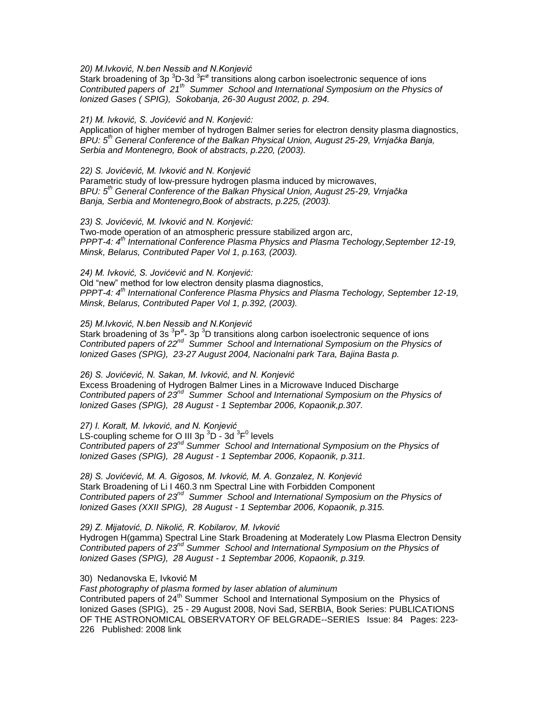*20) M.Ivković, N.ben Nessib and N.Konjević*

Stark broadening of 3p  ${}^{3}$ D-3d  ${}^{3}$ F<sup>ø</sup> transitions along carbon isoelectronic sequence of ions *Contributed papers of 21th Summer School and International Symposium on the Physics of Ionized Gases ( SPIG), Sokobanja, 26-30 August 2002, p. 294.*

*21) M. Ivković, S. Jovićević and N. Konjević:* 

Application of higher member of hydrogen Balmer series for electron density plasma diagnostics, *BPU: 5th General Conference of the Balkan Physical Union, August 25-29, Vrnjačka Banja, Serbia and Montenegro, Book of abstracts, p.220, (2003).*

*22) S. Jovićević, M. Ivković and N. Konjević* Parametric study of low-pressure hydrogen plasma induced by microwaves, *BPU: 5th General Conference of the Balkan Physical Union, August 25-29, Vrnjačka Banja, Serbia and Montenegro,Book of abstracts, p.225, (2003).*

*23) S. Jovićević, M. Ivković and N. Konjević:*

Two-mode operation of an atmospheric pressure stabilized argon arc, *PPPT-4: 4th International Conference Plasma Physics and Plasma Techology,September 12-19, Minsk, Belarus, Contributed Paper Vol 1, p.163, (2003).*

*24) M. Ivković, S. Jovićević and N. Konjević:*

Old "new" method for low electron density plasma diagnostics, *PPPT-4: 4th International Conference Plasma Physics and Plasma Techology, September 12-19, Minsk, Belarus, Contributed Paper Vol 1, p.392, (2003).*

*25) M.Ivković, N.ben Nessib and N.Konjević*

Stark broadening of 3s  ${}^{3}P^{\circ}$ - 3p  ${}^{3}D$  transitions along carbon isoelectronic sequence of ions Contributed papers of 22<sup>nd</sup> Summer School and International Symposium on the Physics of *Ionized Gases (SPIG), 23-27 August 2004, Nacionalni park Tara, Bajina Basta p.* 

*26) S. Jovićević, N. Sakan, M. Ivković, and N. Konjević* Excess Broadening of Hydrogen Balmer Lines in a Microwave Induced Discharge *Contributed papers of 23nd Summer School and International Symposium on the Physics of Ionized Gases (SPIG), 28 August - 1 Septembar 2006, Kopaonik,p.307.*

*27) I. Koralt, M. Ivković, and N. Konjević* LS-coupling scheme for O III 3p  $^3$ D - 3d  $^3$ F $^0$  levels *Contributed papers of 23nd Summer School and International Symposium on the Physics of Ionized Gases (SPIG), 28 August - 1 Septembar 2006, Kopaonik, p.311.*

*28) S. Jovićević, M. A. Gigosos, M. Ivković, M. A. Gonzalez, N. Konjević* Stark Broadening of Li I 460.3 nm Spectral Line with Forbidden Component Contributed papers of 23<sup>nd</sup> Summer School and International Symposium on the Physics of *Ionized Gases (XXII SPIG), 28 August - 1 Septembar 2006, Kopaonik, p.315.*

*29) Z. Mijatović, D. Nikolić, R. Kobilarov, M. Ivković*

Hydrogen H(gamma) Spectral Line Stark Broadening at Moderately Low Plasma Electron Density *Contributed papers of 23nd Summer School and International Symposium on the Physics of Ionized Gases (SPIG), 28 August - 1 Septembar 2006, Kopaonik, p.319.*

30) Nedanovska E, Ivković M

*Fast photography of plasma formed by laser ablation of aluminum*

Contributed papers of 24<sup>th</sup> Summer School and International Symposium on the Physics of Ionized Gases (SPIG), 25 - 29 August 2008, Novi Sad, SERBIA, Book Series: PUBLICATIONS OF THE ASTRONOMICAL OBSERVATORY OF BELGRADE--SERIES Issue: 84 Pages: 223- 226 Published: 2008 [link](http://apps.isiknowledge.com/full_record.do?product=WOS&search_mode=DaisyOneClickSearch&qid=2&SID=T2aM9Agp3BPCDjdlaFn&page=1&doc=10)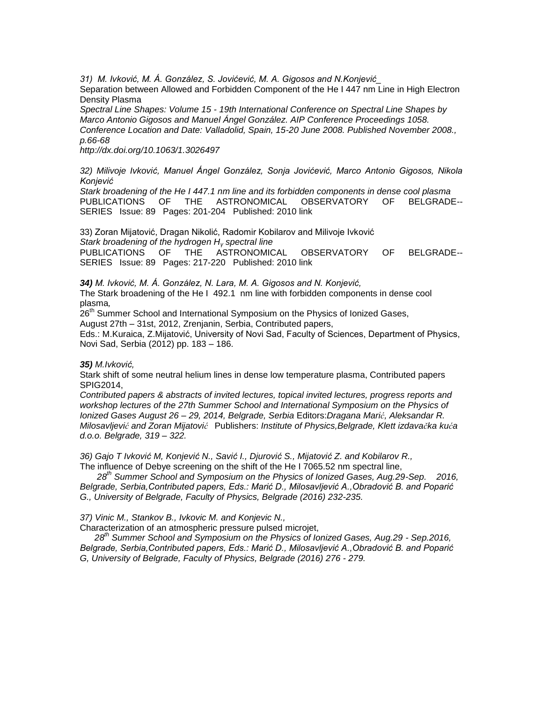*31) M. Ivković, M. Á. González, S. Jovićević, M. A. Gigosos and N.Konjević\_*

Separation between Allowed and Forbidden Component of the He I 447 nm Line in High Electron Density Plasma

*Spectral Line Shapes: Volume 15 - 19th International Conference on Spectral Line Shapes by Marco Antonio Gigosos and Manuel Ángel González. AIP Conference Proceedings 1058. Conference Location and Date: Valladolid, Spain, 15-20 June 2008. Published November 2008., p.66-68*

*<http://dx.doi.org/10.1063/1.3026497>*

*32) Milivoje Ivković, Manuel Ángel González, Sonja Jovićević, Marco Antonio Gigosos, Nikola Konjević*

*[Stark broadening of the He I 447.1 nm line and its forbidden components in dense cool plasma](http://webhost.rcub.bg.ac.rs/~spig2010/Book/068.pdf)* PUBLICATIONS OF THE ASTRONOMICAL OBSERVATORY OF BELGRADE-- SERIES Issue: 89 Pages: 201-204 Published: 2010 [link](http://apps.isiknowledge.com/full_record.do?product=WOS&search_mode=DaisyOneClickSearch&qid=2&SID=T2aM9Agp3BPCDjdlaFn&page=1&doc=10)

33) Zoran Mijatović, Dragan Nikolić, Radomir Kobilarov and Milivoje Ivković *[Stark broadening of the hydrogen H](http://webhost.rcub.bg.ac.rs/~spig2010/Book/072.pdf)<sup>γ</sup> spectral line*  PUBLICATIONS OF THE ASTRONOMICAL OBSERVATORY OF BELGRADE-- SERIES Issue: 89 Pages: 217-220 Published: 2010 [link](http://apps.isiknowledge.com/full_record.do?product=WOS&search_mode=DaisyOneClickSearch&qid=2&SID=T2aM9Agp3BPCDjdlaFn&page=1&doc=10)

*34) M. Ivković, M. Á. González, N. Lara, M. A. Gigosos and N. Konjević,* The Stark broadening of the He I 492.1 nm line with forbidden components in dense cool plasma*,*

26<sup>th</sup> Summer School and International Symposium on the Physics of Ionized Gases. August 27th – 31st, 2012, Zrenjanin, Serbia, Contributed papers,

Eds.: M.Kuraica, Z.Mijatović, University of Novi Sad, Faculty of Sciences, Department of Physics, Novi Sad, Serbia (2012) pp. 183 – 186.

*35) M.Ivković,* 

Stark shift of some neutral helium lines in dense low temperature plasma, Contributed papers SPIG2014,

*Contributed papers & abstracts of invited lectures, topical invited lectures, progress reports and workshop lectures of the 27th Summer School and International Symposium on the Physics of Ionized Gases August 26 – 29, 2014, Belgrade, Serbia* Editors:*Dragana Marić, Aleksandar R. Milosavljević and Zoran Mijatović* Publishers: *Institute of Physics,Belgrade, Klett izdavačka kuća d.o.o. Belgrade, 319 – 322.*

*36) Gajo T Ivković M, Konjević N., Savić I., Djurović S., Mijatović Z. and Kobilarov R.,*  The influence of Debye screening on the shift of the He I 7065.52 nm spectral line,

 *28th Summer School and Symposium on the Physics of Ionized Gases, Aug.29-Sep. 2016, Belgrade, Serbia,Contributed papers, Eds.: Marić D., Milosavljević A.,Obradović B. and Poparić G., University of Belgrade, Faculty of Physics, Belgrade (2016) 232-235.*

*37) Vinic M., Stankov B., Ivkovic M. and Konjevic N.,*

Characterization of an atmospheric pressure pulsed microjet,

 *28th Summer School and Symposium on the Physics of Ionized Gases, Aug.29 - Sep.2016, Belgrade, Serbia,Contributed papers, Eds.: Marić D., Milosavljević A.,Obradović B. and Poparić G, University of Belgrade, Faculty of Physics, Belgrade (2016) 276 - 279.*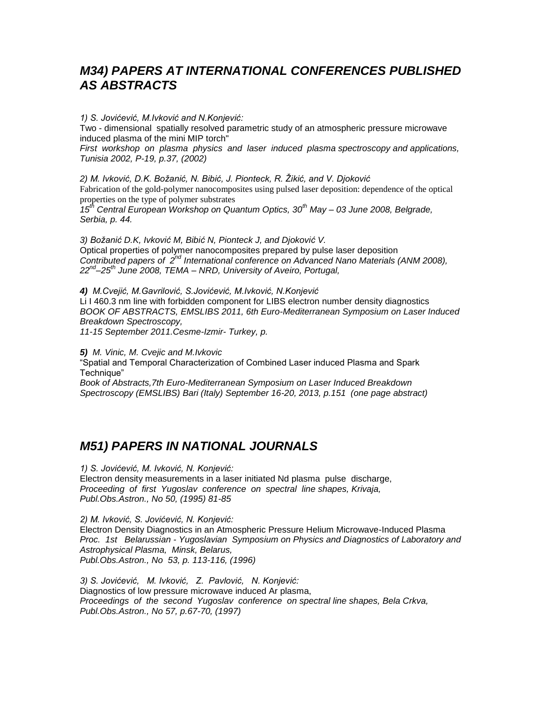# *M34) PAPERS AT INTERNATIONAL CONFERENCES PUBLISHED AS ABSTRACTS*

*1) S. Jovićević, M.Ivković and N.Konjević:*  Two - dimensional spatially resolved parametric study of an atmospheric pressure microwave induced plasma of the mini MIP torch"

*First workshop on plasma physics and laser induced plasma spectroscopy and applications, Tunisia 2002, P-19, p.37, (2002)*

*2) M. Ivković, D.K. Boţanić, N. Bibić, J. Pionteck, R. Ţikić, and V. Djoković* Fabrication of the gold-polymer nanocomposites using pulsed laser deposition: dependence of the optical properties on the type of polymer substrates *15th Central European Workshop on Quantum Optics, 30th May – 03 June 2008, Belgrade, Serbia, p. 44.* 

3) Božanić D.K, Ivković M, Bibić N, Pionteck J, and Djoković V. Optical properties of polymer nanocomposites prepared by pulse laser deposition *Contributed papers of 2nd International conference on Advanced Nano Materials (ANM 2008), 22nd –25th June 2008, TEMA – NRD, University of Aveiro, Portugal,*

*4) M.Cvejić, M.Gavrilović, S.Jovićević, M.Ivković, N.Konjević* Li I 460.3 nm line with forbidden component for LIBS electron number density diagnostics *BOOK OF ABSTRACTS, EMSLIBS 2011, 6th Euro-Mediterranean Symposium on Laser Induced Breakdown Spectroscopy,* 

*11-15 September 2011.Cesme-Izmir- Turkey, p.* 

*5) M. Vinic, M. Cvejic and M.Ivkovic* "Spatial and Temporal Characterization of Combined Laser induced Plasma and Spark Technique" *Book of Abstracts,7th Euro-Mediterranean Symposium on Laser Induced Breakdown* 

*Spectroscopy (EMSLIBS) Bari (Italy) September 16-20, 2013, p.151 (one page abstract)*

# *M51) PAPERS IN NATIONAL JOURNALS*

*1) S. Jovićević, M. Ivković, N. Konjević:*  Electron density measurements in a laser initiated Nd plasma pulse discharge, *Proceeding of first Yugoslav conference on spectral line shapes, Krivaja, Publ.Obs.Astron., No 50, (1995) 81-85*

*2) M. Ivković, S. Jovićević, N. Konjević:*  Electron Density Diagnostics in an Atmospheric Pressure Helium Microwave-Induced Plasma *Proc. 1st Belarussian - Yugoslavian Symposium on Physics and Diagnostics of Laboratory and Astrophysical Plasma, Minsk, Belarus, Publ.Obs.Astron., No 53, p. 113-116, (1996)*

*3) S. Jovićević, M. Ivković, Z. Pavlović, N. Konjević:*  Diagnostics of low pressure microwave induced Ar plasma, *Proceedings of the second Yugoslav conference on spectral line shapes, Bela Crkva, Publ.Obs.Astron., No 57, p.67-70, (1997)*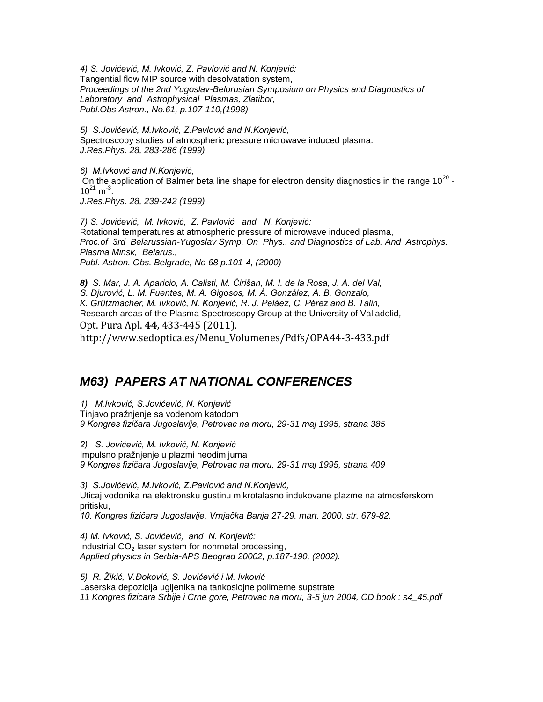*4) S. Jovićević, M. Ivković, Z. Pavlović and N. Konjević:*  Tangential flow MIP source with desolvatation system, *Proceedings of the 2nd Yugoslav-Belorusian Symposium on Physics and Diagnostics of Laboratory and Astrophysical Plasmas, Zlatibor, Publ.Obs.Astron., No.61, p.107-110,(1998)*

*5) S.Jovićević, M.Ivković, Z.Pavlović and N.Konjević,* Spectroscopy studies of atmospheric pressure microwave induced plasma. *J.Res.Phys. 28, 283-286 (1999)*

*6) M.Ivković and N.Konjević,* On the application of Balmer beta line shape for electron density diagnostics in the range 10<sup>20</sup> - $10^{21}$  m<sup>-3</sup>. *J.Res.Phys. 28, 239-242 (1999)*

*7) S. Jovićević, M. Ivković, Z. Pavlović and N. Konjević:* Rotational temperatures at atmospheric pressure of microwave induced plasma, *Proc.of 3rd Belarussian-Yugoslav Symp. On Phys.. and Diagnostics of Lab. And Astrophys. Plasma Minsk, Belarus., Publ. Astron. Obs. Belgrade, No 68 p.101-4, (2000)*

*8) S. Mar, J. A. Aparicio, A. Calisti, M. Ćirišan, M. I. de la Rosa, J. A. del Val, S. Djurović, L. M. Fuentes, M. A. Gigosos, M. Á. González, A. B. Gonzalo, K. Grützmacher, M. Ivković, N. Konjević, R. J. Peláez, C. Pérez and B. Talin,* Research areas of the Plasma Spectroscopy Group at the University of Valladolid*,* Opt. Pura Apl. **44,** 433-445 (2011). [http://www.sedoptica.es/Menu\\_Volumenes/Pdfs/OPA44-3-433.pdf](http://www.sedoptica.es/Menu_Volumenes/Pdfs/OPA44-3-433.pdf)

# *M63) PAPERS AT NATIONAL CONFERENCES*

*1) M.Ivković, S.Jovićević, N. Konjević* Tinjavo pražnjenje sa vodenom katodom *9 Kongres fizičara Jugoslavije, Petrovac na moru, 29-31 maj 1995, strana 385*

*2) S. Jovićević, M. Ivković, N. Konjević*  Impulsno pražnjenje u plazmi neodimijuma *9 Kongres fizičara Jugoslavije, Petrovac na moru, 29-31 maj 1995, strana 409* 

*3) S.Jovićević, M.Ivković, Z.Pavlović and N.Konjević,* Uticaj vodonika na elektronsku gustinu mikrotalasno indukovane plazme na atmosferskom pritisku,

*10. Kongres fizičara Jugoslavije, Vrnjačka Banja 27-29. mart. 2000, str. 679-82.*

*4) M. Ivković, S. Jovićević, and N. Konjević:* Industrial  $CO<sub>2</sub>$  laser system for nonmetal processing, *Applied physics in Serbia-APS Beograd 20002, p.187-190, (2002).*

*5) R. Ţikić, V.Đoković, S. Jovićević i M. Ivković* Laserska depozicija ugljenika na tankoslojne polimerne supstrate *11 Kongres fizicara Srbije i Crne gore, Petrovac na moru, 3-5 jun 2004, CD book : s4\_45.pdf*